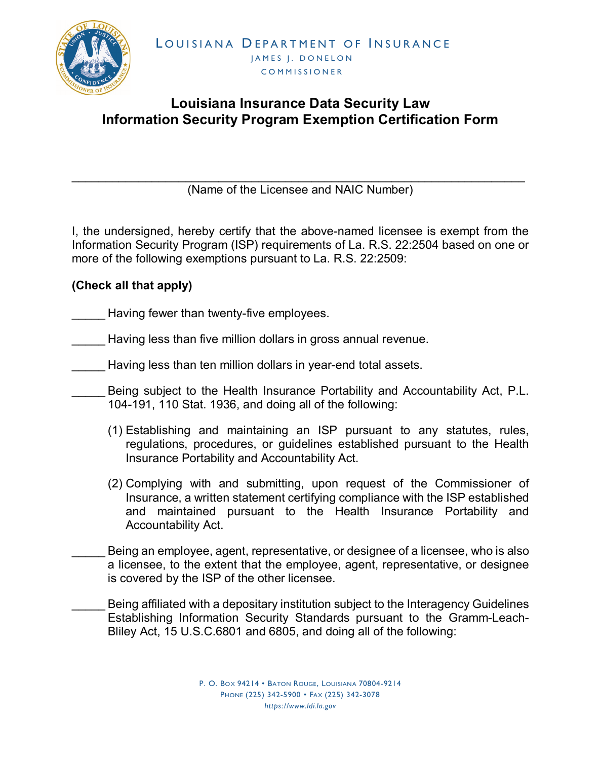

## **Louisiana Insurance Data Security Law Information Security Program Exemption Certification Form**

\_\_\_\_\_\_\_\_\_\_\_\_\_\_\_\_\_\_\_\_\_\_\_\_\_\_\_\_\_\_\_\_\_\_\_\_\_\_\_\_\_\_\_\_\_\_\_\_\_\_\_\_\_\_\_\_\_\_\_\_\_\_\_\_\_\_\_\_ (Name of the Licensee and NAIC Number)

I, the undersigned, hereby certify that the above-named licensee is exempt from the Information Security Program (ISP) requirements of La. R.S. 22:2504 based on one or more of the following exemptions pursuant to La. R.S. 22:2509:

## **(Check all that apply)**

Having fewer than twenty-five employees.

- Having less than five million dollars in gross annual revenue.
- Having less than ten million dollars in year-end total assets.
	- Being subject to the Health Insurance Portability and Accountability Act, P.L. 104-191, 110 Stat. 1936, and doing all of the following:
	- (1) Establishing and maintaining an ISP pursuant to any statutes, rules, regulations, procedures, or guidelines established pursuant to the Health Insurance Portability and Accountability Act.
	- (2) Complying with and submitting, upon request of the Commissioner of Insurance, a written statement certifying compliance with the ISP established and maintained pursuant to the Health Insurance Portability and Accountability Act.
- Being an employee, agent, representative, or designee of a licensee, who is also a licensee, to the extent that the employee, agent, representative, or designee is covered by the ISP of the other licensee.
	- Being affiliated with a depositary institution subject to the Interagency Guidelines Establishing Information Security Standards pursuant to the Gramm-Leach-Bliley Act, 15 U.S.C.6801 and 6805, and doing all of the following: